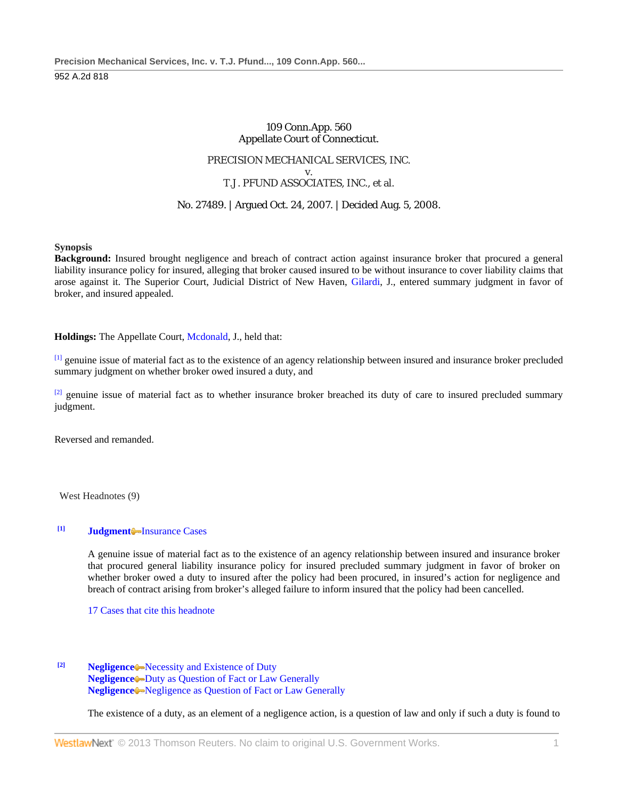# 109 Conn.App. 560 Appellate Court of Connecticut.

# PRECISION MECHANICAL SERVICES, INC. v. T.J. PFUND ASSOCIATES, INC., et al.

# No. 27489. | Argued Oct. 24, 2007. | Decided Aug. 5, 2008.

**Synopsis**

**Background:** Insured brought negligence and breach of contract action against insurance broker that procured a general liability insurance policy for insured, alleging that broker caused insured to be without insurance to cover liability claims that arose against it. The Superior Court, Judicial District of New Haven, [Gilardi,](http://www.westlaw.com/Link/Document/FullText?findType=h&pubNum=176284&cite=0264553201&originatingDoc=I833508795f3111ddb5cbad29a280d47c&refType=RQ&originationContext=document&vr=3.0&rs=cblt1.0&transitionType=DocumentItem&contextData=(sc.Default)) J., entered summary judgment in favor of broker, and insured appealed.

**Holdings:** The Appellate Court, [Mcdonald,](http://www.westlaw.com/Link/Document/FullText?findType=h&pubNum=176284&cite=0397850801&originatingDoc=I833508795f3111ddb5cbad29a280d47c&refType=RQ&originationContext=document&vr=3.0&rs=cblt1.0&transitionType=DocumentItem&contextData=(sc.Default)) J., held that:

[1] genuine issue of material fact as to the existence of an agency relationship between insured and insurance broker precluded summary judgment on whether broker owed insured a duty, and

 $[2]$  genuine issue of material fact as to whether insurance broker breached its duty of care to insured precluded summary judgment.

Reversed and remanded.

West Headnotes (9)

## **[1] [Judgment](http://www.westlaw.com/Browse/Home/KeyNumber/228/View.html?docGuid=I833508795f3111ddb5cbad29a280d47c&originationContext=document&vr=3.0&rs=cblt1.0&transitionType=DocumentItem&contextData=(sc.Default))** [Insurance Cases](http://www.westlaw.com/Browse/Home/KeyNumber/228k181(23)/View.html?docGuid=I833508795f3111ddb5cbad29a280d47c&originationContext=document&vr=3.0&rs=cblt1.0&transitionType=DocumentItem&contextData=(sc.Default))

A genuine issue of material fact as to the existence of an agency relationship between insured and insurance broker that procured general liability insurance policy for insured precluded summary judgment in favor of broker on whether broker owed a duty to insured after the policy had been procured, in insured's action for negligence and breach of contract arising from broker's alleged failure to inform insured that the policy had been cancelled.

[17 Cases that cite this headnote](http://www.westlaw.com/Link/RelatedInformation/DocHeadnoteLink?docGuid=I833508795f3111ddb5cbad29a280d47c&headnoteId=201665805400120090403162523&originationContext=document&vr=3.0&rs=cblt1.0&transitionType=CitingReferences&contextData=(sc.Default))

## **[2] [Negligence](http://www.westlaw.com/Browse/Home/KeyNumber/272/View.html?docGuid=I833508795f3111ddb5cbad29a280d47c&originationContext=document&vr=3.0&rs=cblt1.0&transitionType=DocumentItem&contextData=(sc.Default))** [Necessity and Existence of Duty](http://www.westlaw.com/Browse/Home/KeyNumber/272II/View.html?docGuid=I833508795f3111ddb5cbad29a280d47c&originationContext=document&vr=3.0&rs=cblt1.0&transitionType=DocumentItem&contextData=(sc.Default)) **[Negligence](http://www.westlaw.com/Browse/Home/KeyNumber/272/View.html?docGuid=I833508795f3111ddb5cbad29a280d47c&originationContext=document&vr=3.0&rs=cblt1.0&transitionType=DocumentItem&contextData=(sc.Default))** [Duty as Question of Fact or Law Generally](http://www.westlaw.com/Browse/Home/KeyNumber/272k1692/View.html?docGuid=I833508795f3111ddb5cbad29a280d47c&originationContext=document&vr=3.0&rs=cblt1.0&transitionType=DocumentItem&contextData=(sc.Default)) **[Negligence](http://www.westlaw.com/Browse/Home/KeyNumber/272/View.html?docGuid=I833508795f3111ddb5cbad29a280d47c&originationContext=document&vr=3.0&rs=cblt1.0&transitionType=DocumentItem&contextData=(sc.Default))** [Negligence as Question of Fact or Law Generally](http://www.westlaw.com/Browse/Home/KeyNumber/272k1693/View.html?docGuid=I833508795f3111ddb5cbad29a280d47c&originationContext=document&vr=3.0&rs=cblt1.0&transitionType=DocumentItem&contextData=(sc.Default))

The existence of a duty, as an element of a negligence action, is a question of law and only if such a duty is found to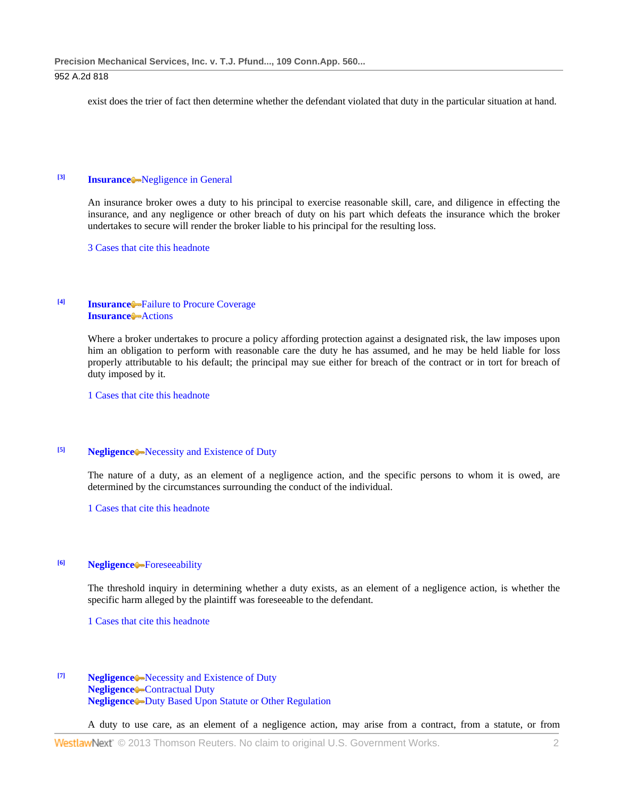exist does the trier of fact then determine whether the defendant violated that duty in the particular situation at hand.

# **[3] [Insurance](http://www.westlaw.com/Browse/Home/KeyNumber/217/View.html?docGuid=I833508795f3111ddb5cbad29a280d47c&originationContext=document&vr=3.0&rs=cblt1.0&transitionType=DocumentItem&contextData=(sc.Default))** [Negligence in General](http://www.westlaw.com/Browse/Home/KeyNumber/217k1670/View.html?docGuid=I833508795f3111ddb5cbad29a280d47c&originationContext=document&vr=3.0&rs=cblt1.0&transitionType=DocumentItem&contextData=(sc.Default))

An insurance broker owes a duty to his principal to exercise reasonable skill, care, and diligence in effecting the insurance, and any negligence or other breach of duty on his part which defeats the insurance which the broker undertakes to secure will render the broker liable to his principal for the resulting loss.

[3 Cases that cite this headnote](http://www.westlaw.com/Link/RelatedInformation/DocHeadnoteLink?docGuid=I833508795f3111ddb5cbad29a280d47c&headnoteId=201665805400320090403162523&originationContext=document&vr=3.0&rs=cblt1.0&transitionType=CitingReferences&contextData=(sc.Default))

## **[4] [Insurance](http://www.westlaw.com/Browse/Home/KeyNumber/217/View.html?docGuid=I833508795f3111ddb5cbad29a280d47c&originationContext=document&vr=3.0&rs=cblt1.0&transitionType=DocumentItem&contextData=(sc.Default))** [Failure to Procure Coverage](http://www.westlaw.com/Browse/Home/KeyNumber/217k1671/View.html?docGuid=I833508795f3111ddb5cbad29a280d47c&originationContext=document&vr=3.0&rs=cblt1.0&transitionType=DocumentItem&contextData=(sc.Default)) **[Insurance](http://www.westlaw.com/Browse/Home/KeyNumber/217/View.html?docGuid=I833508795f3111ddb5cbad29a280d47c&originationContext=document&vr=3.0&rs=cblt1.0&transitionType=DocumentItem&contextData=(sc.Default))** [Actions](http://www.westlaw.com/Browse/Home/KeyNumber/217k1673/View.html?docGuid=I833508795f3111ddb5cbad29a280d47c&originationContext=document&vr=3.0&rs=cblt1.0&transitionType=DocumentItem&contextData=(sc.Default))

Where a broker undertakes to procure a policy affording protection against a designated risk, the law imposes upon him an obligation to perform with reasonable care the duty he has assumed, and he may be held liable for loss properly attributable to his default; the principal may sue either for breach of the contract or in tort for breach of duty imposed by it.

[1 Cases that cite this headnote](http://www.westlaw.com/Link/RelatedInformation/DocHeadnoteLink?docGuid=I833508795f3111ddb5cbad29a280d47c&headnoteId=201665805400420090403162523&originationContext=document&vr=3.0&rs=cblt1.0&transitionType=CitingReferences&contextData=(sc.Default))

# **[5] [Negligence](http://www.westlaw.com/Browse/Home/KeyNumber/272/View.html?docGuid=I833508795f3111ddb5cbad29a280d47c&originationContext=document&vr=3.0&rs=cblt1.0&transitionType=DocumentItem&contextData=(sc.Default))** [Necessity and Existence of Duty](http://www.westlaw.com/Browse/Home/KeyNumber/272II/View.html?docGuid=I833508795f3111ddb5cbad29a280d47c&originationContext=document&vr=3.0&rs=cblt1.0&transitionType=DocumentItem&contextData=(sc.Default))

The nature of a duty, as an element of a negligence action, and the specific persons to whom it is owed, are determined by the circumstances surrounding the conduct of the individual.

[1 Cases that cite this headnote](http://www.westlaw.com/Link/RelatedInformation/DocHeadnoteLink?docGuid=I833508795f3111ddb5cbad29a280d47c&headnoteId=201665805400520090403162523&originationContext=document&vr=3.0&rs=cblt1.0&transitionType=CitingReferences&contextData=(sc.Default))

# **[6] [Negligence](http://www.westlaw.com/Browse/Home/KeyNumber/272/View.html?docGuid=I833508795f3111ddb5cbad29a280d47c&originationContext=document&vr=3.0&rs=cblt1.0&transitionType=DocumentItem&contextData=(sc.Default))** [Foreseeability](http://www.westlaw.com/Browse/Home/KeyNumber/272k213/View.html?docGuid=I833508795f3111ddb5cbad29a280d47c&originationContext=document&vr=3.0&rs=cblt1.0&transitionType=DocumentItem&contextData=(sc.Default))

The threshold inquiry in determining whether a duty exists, as an element of a negligence action, is whether the specific harm alleged by the plaintiff was foreseeable to the defendant.

[1 Cases that cite this headnote](http://www.westlaw.com/Link/RelatedInformation/DocHeadnoteLink?docGuid=I833508795f3111ddb5cbad29a280d47c&headnoteId=201665805400620090403162523&originationContext=document&vr=3.0&rs=cblt1.0&transitionType=CitingReferences&contextData=(sc.Default))

## **[7] [Negligence](http://www.westlaw.com/Browse/Home/KeyNumber/272/View.html?docGuid=I833508795f3111ddb5cbad29a280d47c&originationContext=document&vr=3.0&rs=cblt1.0&transitionType=DocumentItem&contextData=(sc.Default))** [Necessity and Existence of Duty](http://www.westlaw.com/Browse/Home/KeyNumber/272II/View.html?docGuid=I833508795f3111ddb5cbad29a280d47c&originationContext=document&vr=3.0&rs=cblt1.0&transitionType=DocumentItem&contextData=(sc.Default)) **[Negligence](http://www.westlaw.com/Browse/Home/KeyNumber/272/View.html?docGuid=I833508795f3111ddb5cbad29a280d47c&originationContext=document&vr=3.0&rs=cblt1.0&transitionType=DocumentItem&contextData=(sc.Default))** [Contractual Duty](http://www.westlaw.com/Browse/Home/KeyNumber/272k219/View.html?docGuid=I833508795f3111ddb5cbad29a280d47c&originationContext=document&vr=3.0&rs=cblt1.0&transitionType=DocumentItem&contextData=(sc.Default)) **[Negligence](http://www.westlaw.com/Browse/Home/KeyNumber/272/View.html?docGuid=I833508795f3111ddb5cbad29a280d47c&originationContext=document&vr=3.0&rs=cblt1.0&transitionType=DocumentItem&contextData=(sc.Default))** [Duty Based Upon Statute or Other Regulation](http://www.westlaw.com/Browse/Home/KeyNumber/272k222/View.html?docGuid=I833508795f3111ddb5cbad29a280d47c&originationContext=document&vr=3.0&rs=cblt1.0&transitionType=DocumentItem&contextData=(sc.Default))

A duty to use care, as an element of a negligence action, may arise from a contract, from a statute, or from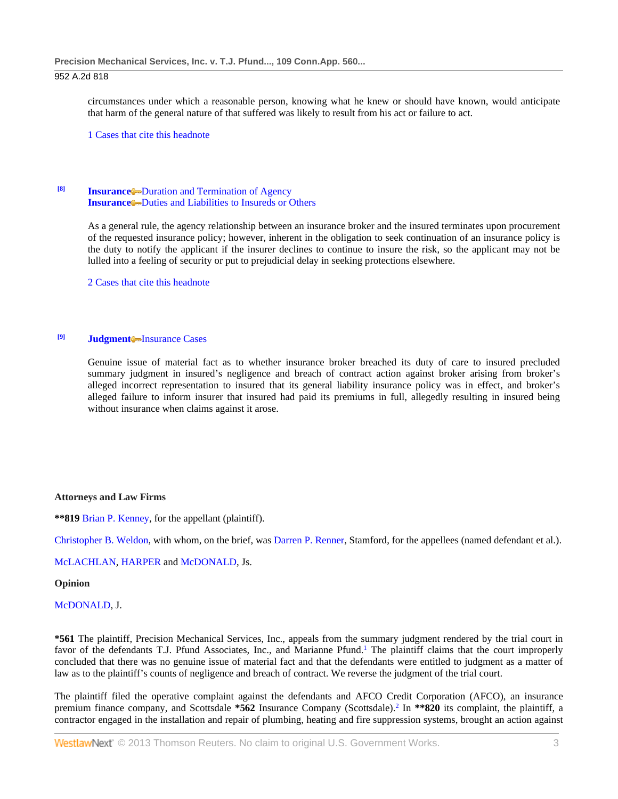circumstances under which a reasonable person, knowing what he knew or should have known, would anticipate that harm of the general nature of that suffered was likely to result from his act or failure to act.

[1 Cases that cite this headnote](http://www.westlaw.com/Link/RelatedInformation/DocHeadnoteLink?docGuid=I833508795f3111ddb5cbad29a280d47c&headnoteId=201665805400720090403162523&originationContext=document&vr=3.0&rs=cblt1.0&transitionType=CitingReferences&contextData=(sc.Default))

# **[Insurance](http://www.westlaw.com/Browse/Home/KeyNumber/217/View.html?docGuid=I833508795f3111ddb5cbad29a280d47c&originationContext=document&vr=3.0&rs=cblt1.0&transitionType=DocumentItem&contextData=(sc.Default))** [Duration and Termination of Agency](http://www.westlaw.com/Browse/Home/KeyNumber/217k1657/View.html?docGuid=I833508795f3111ddb5cbad29a280d47c&originationContext=document&vr=3.0&rs=cblt1.0&transitionType=DocumentItem&contextData=(sc.Default)) **[Insurance](http://www.westlaw.com/Browse/Home/KeyNumber/217/View.html?docGuid=I833508795f3111ddb5cbad29a280d47c&originationContext=document&vr=3.0&rs=cblt1.0&transitionType=DocumentItem&contextData=(sc.Default))** [Duties and Liabilities to Insureds or Others](http://www.westlaw.com/Browse/Home/KeyNumber/217k1668/View.html?docGuid=I833508795f3111ddb5cbad29a280d47c&originationContext=document&vr=3.0&rs=cblt1.0&transitionType=DocumentItem&contextData=(sc.Default))

As a general rule, the agency relationship between an insurance broker and the insured terminates upon procurement of the requested insurance policy; however, inherent in the obligation to seek continuation of an insurance policy is the duty to notify the applicant if the insurer declines to continue to insure the risk, so the applicant may not be lulled into a feeling of security or put to prejudicial delay in seeking protections elsewhere.

[2 Cases that cite this headnote](http://www.westlaw.com/Link/RelatedInformation/DocHeadnoteLink?docGuid=I833508795f3111ddb5cbad29a280d47c&headnoteId=201665805400820090403162523&originationContext=document&vr=3.0&rs=cblt1.0&transitionType=CitingReferences&contextData=(sc.Default))

### <sup>[9]</sup> **[Judgment](http://www.westlaw.com/Browse/Home/KeyNumber/228/View.html?docGuid=I833508795f3111ddb5cbad29a280d47c&originationContext=document&vr=3.0&rs=cblt1.0&transitionType=DocumentItem&contextData=(sc.Default))** [Insurance Cases](http://www.westlaw.com/Browse/Home/KeyNumber/228k181(23)/View.html?docGuid=I833508795f3111ddb5cbad29a280d47c&originationContext=document&vr=3.0&rs=cblt1.0&transitionType=DocumentItem&contextData=(sc.Default))

Genuine issue of material fact as to whether insurance broker breached its duty of care to insured precluded summary judgment in insured's negligence and breach of contract action against broker arising from broker's alleged incorrect representation to insured that its general liability insurance policy was in effect, and broker's alleged failure to inform insurer that insured had paid its premiums in full, allegedly resulting in insured being without insurance when claims against it arose.

#### **Attorneys and Law Firms**

**\*\*819** [Brian P. Kenney,](http://www.westlaw.com/Link/Document/FullText?findType=h&pubNum=176284&cite=0143876101&originatingDoc=I833508795f3111ddb5cbad29a280d47c&refType=RQ&originationContext=document&vr=3.0&rs=cblt1.0&transitionType=DocumentItem&contextData=(sc.Default)) for the appellant (plaintiff).

[Christopher B. Weldon,](http://www.westlaw.com/Link/Document/FullText?findType=h&pubNum=176284&cite=0230598101&originatingDoc=I833508795f3111ddb5cbad29a280d47c&refType=RQ&originationContext=document&vr=3.0&rs=cblt1.0&transitionType=DocumentItem&contextData=(sc.Default)) with whom, on the brief, wa[s Darren P. Renner,](http://www.westlaw.com/Link/Document/FullText?findType=h&pubNum=176284&cite=0142019801&originatingDoc=I833508795f3111ddb5cbad29a280d47c&refType=RQ&originationContext=document&vr=3.0&rs=cblt1.0&transitionType=DocumentItem&contextData=(sc.Default)) Stamford, for the appellees (named defendant et al.).

### [McLACHLAN,](http://www.westlaw.com/Link/Document/FullText?findType=h&pubNum=176284&cite=0154837401&originatingDoc=I833508795f3111ddb5cbad29a280d47c&refType=RQ&originationContext=document&vr=3.0&rs=cblt1.0&transitionType=DocumentItem&contextData=(sc.Default)) [HARPER](http://www.westlaw.com/Link/Document/FullText?findType=h&pubNum=176284&cite=0147119201&originatingDoc=I833508795f3111ddb5cbad29a280d47c&refType=RQ&originationContext=document&vr=3.0&rs=cblt1.0&transitionType=DocumentItem&contextData=(sc.Default)) and [McDONALD,](http://www.westlaw.com/Link/Document/FullText?findType=h&pubNum=176284&cite=0397850801&originatingDoc=I833508795f3111ddb5cbad29a280d47c&refType=RQ&originationContext=document&vr=3.0&rs=cblt1.0&transitionType=DocumentItem&contextData=(sc.Default)) Js.

### **Opinion**

### [McDONALD,](http://www.westlaw.com/Link/Document/FullText?findType=h&pubNum=176284&cite=0397850801&originatingDoc=I833508795f3111ddb5cbad29a280d47c&refType=RQ&originationContext=document&vr=3.0&rs=cblt1.0&transitionType=DocumentItem&contextData=(sc.Default)) J.

**\*561** The plaintiff, Precision Mechanical Services, Inc., appeals from the summary judgment rendered by the trial court in favor of the defendants T.J. Pfund Associates, Inc., and Marianne Pfund.<sup>1</sup> The plaintiff claims that the court improperly concluded that there was no genuine issue of material fact and that the defendants were entitled to judgment as a matter of law as to the plaintiff's counts of negligence and breach of contract. We reverse the judgment of the trial court.

The plaintiff filed the operative complaint against the defendants and AFCO Credit Corporation (AFCO), an insurance premium finance company, and Scottsdale **\*562** Insurance Company (Scottsdale).2 In **\*\*820** its complaint, the plaintiff, a contractor engaged in the installation and repair of plumbing, heating and fire suppression systems, brought an action against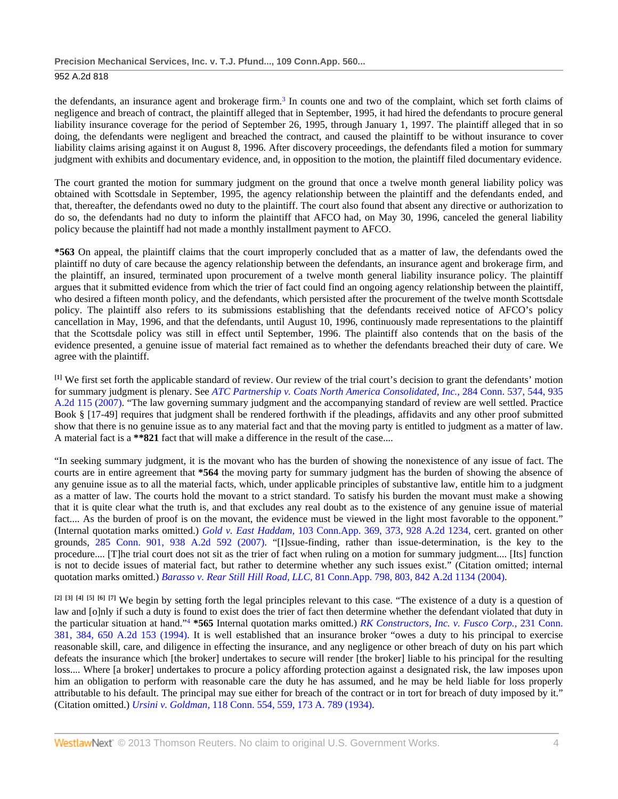### **Precision Mechanical Services, Inc. v. T.J. Pfund..., 109 Conn.App. 560...**

### 952 A.2d 818

the defendants, an insurance agent and brokerage firm.3 In counts one and two of the complaint, which set forth claims of negligence and breach of contract, the plaintiff alleged that in September, 1995, it had hired the defendants to procure general liability insurance coverage for the period of September 26, 1995, through January 1, 1997. The plaintiff alleged that in so doing, the defendants were negligent and breached the contract, and caused the plaintiff to be without insurance to cover liability claims arising against it on August 8, 1996. After discovery proceedings, the defendants filed a motion for summary judgment with exhibits and documentary evidence, and, in opposition to the motion, the plaintiff filed documentary evidence.

The court granted the motion for summary judgment on the ground that once a twelve month general liability policy was obtained with Scottsdale in September, 1995, the agency relationship between the plaintiff and the defendants ended, and that, thereafter, the defendants owed no duty to the plaintiff. The court also found that absent any directive or authorization to do so, the defendants had no duty to inform the plaintiff that AFCO had, on May 30, 1996, canceled the general liability policy because the plaintiff had not made a monthly installment payment to AFCO.

**\*563** On appeal, the plaintiff claims that the court improperly concluded that as a matter of law, the defendants owed the plaintiff no duty of care because the agency relationship between the defendants, an insurance agent and brokerage firm, and the plaintiff, an insured, terminated upon procurement of a twelve month general liability insurance policy. The plaintiff argues that it submitted evidence from which the trier of fact could find an ongoing agency relationship between the plaintiff, who desired a fifteen month policy, and the defendants, which persisted after the procurement of the twelve month Scottsdale policy. The plaintiff also refers to its submissions establishing that the defendants received notice of AFCO's policy cancellation in May, 1996, and that the defendants, until August 10, 1996, continuously made representations to the plaintiff that the Scottsdale policy was still in effect until September, 1996. The plaintiff also contends that on the basis of the evidence presented, a genuine issue of material fact remained as to whether the defendants breached their duty of care. We agree with the plaintiff.

**[1]** We first set forth the applicable standard of review. Our review of the trial court's decision to grant the defendants' motion for summary judgment is plenary. See *[ATC Partnership v. Coats North America Consolidated, Inc.,](http://www.westlaw.com/Link/Document/FullText?findType=Y&serNum=2014207845&pubNum=162&originationContext=document&vr=3.0&rs=cblt1.0&transitionType=DocumentItem&contextData=(sc.Default))* 284 Conn. 537, 544, 935 [A.2d 115 \(2007\).](http://www.westlaw.com/Link/Document/FullText?findType=Y&serNum=2014207845&pubNum=162&originationContext=document&vr=3.0&rs=cblt1.0&transitionType=DocumentItem&contextData=(sc.Default)) "The law governing summary judgment and the accompanying standard of review are well settled. Practice Book § [17-49] requires that judgment shall be rendered forthwith if the pleadings, affidavits and any other proof submitted show that there is no genuine issue as to any material fact and that the moving party is entitled to judgment as a matter of law. A material fact is a **\*\*821** fact that will make a difference in the result of the case....

"In seeking summary judgment, it is the movant who has the burden of showing the nonexistence of any issue of fact. The courts are in entire agreement that **\*564** the moving party for summary judgment has the burden of showing the absence of any genuine issue as to all the material facts, which, under applicable principles of substantive law, entitle him to a judgment as a matter of law. The courts hold the movant to a strict standard. To satisfy his burden the movant must make a showing that it is quite clear what the truth is, and that excludes any real doubt as to the existence of any genuine issue of material fact.... As the burden of proof is on the movant, the evidence must be viewed in the light most favorable to the opponent." (Internal quotation marks omitted.) *Gold v. East Haddam,* [103 Conn.App. 369, 373, 928 A.2d 1234,](http://www.westlaw.com/Link/Document/FullText?findType=Y&serNum=2012925144&pubNum=162&originationContext=document&vr=3.0&rs=cblt1.0&transitionType=DocumentItem&contextData=(sc.Default)) cert. granted on other grounds, [285 Conn. 901, 938 A.2d 592 \(2007\).](http://www.westlaw.com/Link/Document/FullText?findType=Y&serNum=2014719284&pubNum=162&originationContext=document&vr=3.0&rs=cblt1.0&transitionType=DocumentItem&contextData=(sc.Default)) "[I]ssue-finding, rather than issue-determination, is the key to the procedure.... [T]he trial court does not sit as the trier of fact when ruling on a motion for summary judgment.... [Its] function is not to decide issues of material fact, but rather to determine whether any such issues exist." (Citation omitted; internal quotation marks omitted.) *Barasso v. Rear Still Hill Road, LLC,* [81 Conn.App. 798, 803, 842 A.2d 1134 \(2004\).](http://www.westlaw.com/Link/Document/FullText?findType=Y&serNum=2004178062&pubNum=162&originationContext=document&vr=3.0&rs=cblt1.0&transitionType=DocumentItem&contextData=(sc.Default))

**[2] [3] [4] [5] [6] [7]** We begin by setting forth the legal principles relevant to this case. "The existence of a duty is a question of law and [o]nly if such a duty is found to exist does the trier of fact then determine whether the defendant violated that duty in the particular situation at hand."4 **\*565** Internal quotation marks omitted.) *[RK Constructors, Inc. v. Fusco Corp.,](http://www.westlaw.com/Link/Document/FullText?findType=Y&serNum=1994241042&pubNum=162&originationContext=document&vr=3.0&rs=cblt1.0&transitionType=DocumentItem&contextData=(sc.Default))* 231 Conn. [381, 384, 650 A.2d 153 \(1994\).](http://www.westlaw.com/Link/Document/FullText?findType=Y&serNum=1994241042&pubNum=162&originationContext=document&vr=3.0&rs=cblt1.0&transitionType=DocumentItem&contextData=(sc.Default)) It is well established that an insurance broker "owes a duty to his principal to exercise reasonable skill, care, and diligence in effecting the insurance, and any negligence or other breach of duty on his part which defeats the insurance which [the broker] undertakes to secure will render [the broker] liable to his principal for the resulting loss.... Where [a broker] undertakes to procure a policy affording protection against a designated risk, the law imposes upon him an obligation to perform with reasonable care the duty he has assumed, and he may be held liable for loss properly attributable to his default. The principal may sue either for breach of the contract or in tort for breach of duty imposed by it." (Citation omitted.) *Ursini v. Goldman,* [118 Conn. 554, 559, 173 A. 789 \(1934\).](http://www.westlaw.com/Link/Document/FullText?findType=Y&serNum=1934117154&pubNum=161&originationContext=document&vr=3.0&rs=cblt1.0&transitionType=DocumentItem&contextData=(sc.Default))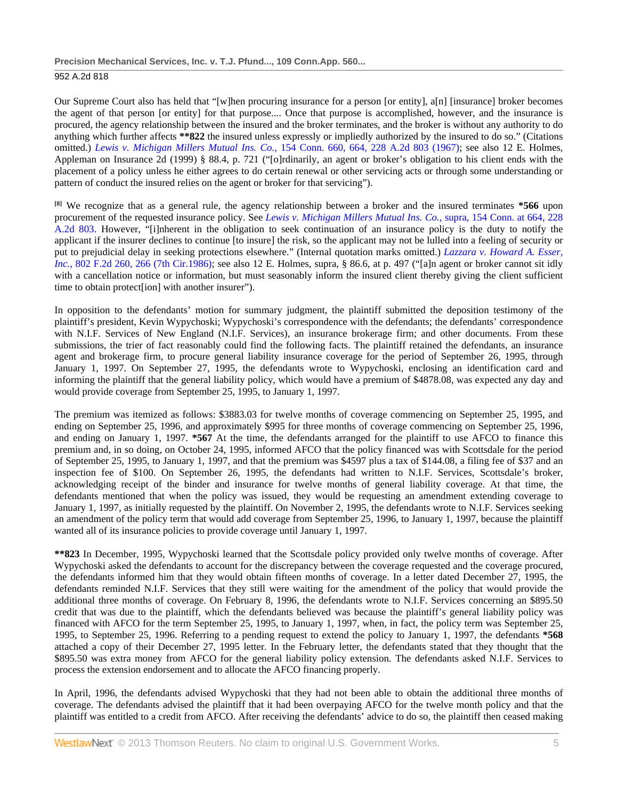Our Supreme Court also has held that "[w]hen procuring insurance for a person [or entity], a[n] [insurance] broker becomes the agent of that person [or entity] for that purpose.... Once that purpose is accomplished, however, and the insurance is procured, the agency relationship between the insured and the broker terminates, and the broker is without any authority to do anything which further affects **\*\*822** the insured unless expressly or impliedly authorized by the insured to do so." (Citations omitted.) *[Lewis v. Michigan Millers Mutual Ins. Co.,](http://www.westlaw.com/Link/Document/FullText?findType=Y&serNum=1967108664&pubNum=162&originationContext=document&vr=3.0&rs=cblt1.0&transitionType=DocumentItem&contextData=(sc.Default))* 154 Conn. 660, 664, 228 A.2d 803 (1967); see also 12 E. Holmes, Appleman on Insurance 2d (1999) § 88.4, p. 721 ("[o]rdinarily, an agent or broker's obligation to his client ends with the placement of a policy unless he either agrees to do certain renewal or other servicing acts or through some understanding or pattern of conduct the insured relies on the agent or broker for that servicing").

**[8]** We recognize that as a general rule, the agency relationship between a broker and the insured terminates **\*566** upon procurement of the requested insurance policy. See *[Lewis v. Michigan Millers Mutual Ins. Co.,](http://www.westlaw.com/Link/Document/FullText?findType=Y&serNum=1967108664&pubNum=162&originationContext=document&vr=3.0&rs=cblt1.0&transitionType=DocumentItem&contextData=(sc.Default))* supra, 154 Conn. at 664, 228 [A.2d 803.](http://www.westlaw.com/Link/Document/FullText?findType=Y&serNum=1967108664&pubNum=162&originationContext=document&vr=3.0&rs=cblt1.0&transitionType=DocumentItem&contextData=(sc.Default)) However, "[i]nherent in the obligation to seek continuation of an insurance policy is the duty to notify the applicant if the insurer declines to continue [to insure] the risk, so the applicant may not be lulled into a feeling of security or put to prejudicial delay in seeking protections elsewhere." (Internal quotation marks omitted.) *[Lazzara v. Howard A. Esser,](http://www.westlaw.com/Link/Document/FullText?findType=Y&serNum=1986147685&pubNum=350&originationContext=document&vr=3.0&rs=cblt1.0&transitionType=DocumentItem&contextData=(sc.Default)#co_pp_sp_350_266)  Inc.,* [802 F.2d 260, 266 \(7th Cir.1986\);](http://www.westlaw.com/Link/Document/FullText?findType=Y&serNum=1986147685&pubNum=350&originationContext=document&vr=3.0&rs=cblt1.0&transitionType=DocumentItem&contextData=(sc.Default)#co_pp_sp_350_266) see also 12 E. Holmes, supra, § 86.6, at p. 497 ("[a]n agent or broker cannot sit idly with a cancellation notice or information, but must seasonably inform the insured client thereby giving the client sufficient time to obtain protect[ion] with another insurer").

In opposition to the defendants' motion for summary judgment, the plaintiff submitted the deposition testimony of the plaintiff's president, Kevin Wypychoski; Wypychoski's correspondence with the defendants; the defendants' correspondence with N.I.F. Services of New England (N.I.F. Services), an insurance brokerage firm; and other documents. From these submissions, the trier of fact reasonably could find the following facts. The plaintiff retained the defendants, an insurance agent and brokerage firm, to procure general liability insurance coverage for the period of September 26, 1995, through January 1, 1997. On September 27, 1995, the defendants wrote to Wypychoski, enclosing an identification card and informing the plaintiff that the general liability policy, which would have a premium of \$4878.08, was expected any day and would provide coverage from September 25, 1995, to January 1, 1997.

The premium was itemized as follows: \$3883.03 for twelve months of coverage commencing on September 25, 1995, and ending on September 25, 1996, and approximately \$995 for three months of coverage commencing on September 25, 1996, and ending on January 1, 1997. **\*567** At the time, the defendants arranged for the plaintiff to use AFCO to finance this premium and, in so doing, on October 24, 1995, informed AFCO that the policy financed was with Scottsdale for the period of September 25, 1995, to January 1, 1997, and that the premium was \$4597 plus a tax of \$144.08, a filing fee of \$37 and an inspection fee of \$100. On September 26, 1995, the defendants had written to N.I.F. Services, Scottsdale's broker, acknowledging receipt of the binder and insurance for twelve months of general liability coverage. At that time, the defendants mentioned that when the policy was issued, they would be requesting an amendment extending coverage to January 1, 1997, as initially requested by the plaintiff. On November 2, 1995, the defendants wrote to N.I.F. Services seeking an amendment of the policy term that would add coverage from September 25, 1996, to January 1, 1997, because the plaintiff wanted all of its insurance policies to provide coverage until January 1, 1997.

**\*\*823** In December, 1995, Wypychoski learned that the Scottsdale policy provided only twelve months of coverage. After Wypychoski asked the defendants to account for the discrepancy between the coverage requested and the coverage procured, the defendants informed him that they would obtain fifteen months of coverage. In a letter dated December 27, 1995, the defendants reminded N.I.F. Services that they still were waiting for the amendment of the policy that would provide the additional three months of coverage. On February 8, 1996, the defendants wrote to N.I.F. Services concerning an \$895.50 credit that was due to the plaintiff, which the defendants believed was because the plaintiff's general liability policy was financed with AFCO for the term September 25, 1995, to January 1, 1997, when, in fact, the policy term was September 25, 1995, to September 25, 1996. Referring to a pending request to extend the policy to January 1, 1997, the defendants **\*568** attached a copy of their December 27, 1995 letter. In the February letter, the defendants stated that they thought that the \$895.50 was extra money from AFCO for the general liability policy extension. The defendants asked N.I.F. Services to process the extension endorsement and to allocate the AFCO financing properly.

In April, 1996, the defendants advised Wypychoski that they had not been able to obtain the additional three months of coverage. The defendants advised the plaintiff that it had been overpaying AFCO for the twelve month policy and that the plaintiff was entitled to a credit from AFCO. After receiving the defendants' advice to do so, the plaintiff then ceased making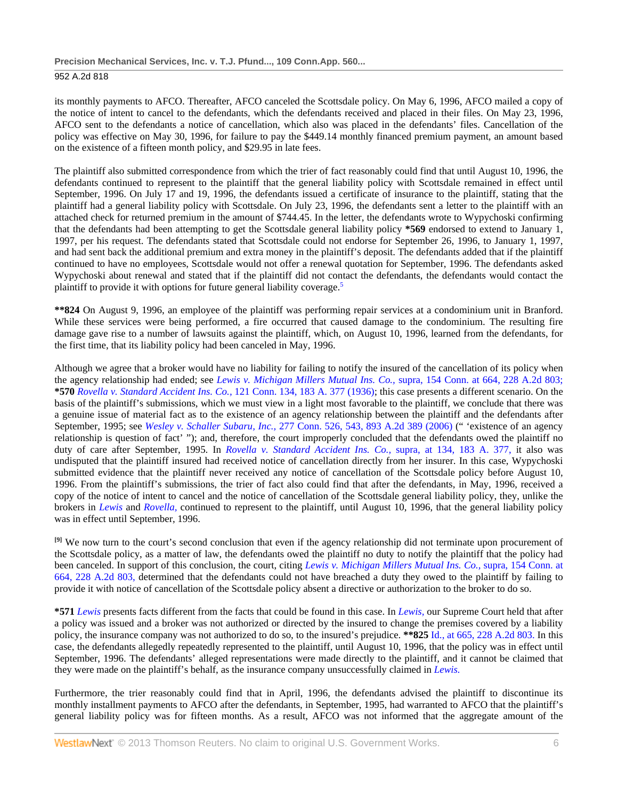its monthly payments to AFCO. Thereafter, AFCO canceled the Scottsdale policy. On May 6, 1996, AFCO mailed a copy of the notice of intent to cancel to the defendants, which the defendants received and placed in their files. On May 23, 1996, AFCO sent to the defendants a notice of cancellation, which also was placed in the defendants' files. Cancellation of the policy was effective on May 30, 1996, for failure to pay the \$449.14 monthly financed premium payment, an amount based on the existence of a fifteen month policy, and \$29.95 in late fees.

The plaintiff also submitted correspondence from which the trier of fact reasonably could find that until August 10, 1996, the defendants continued to represent to the plaintiff that the general liability policy with Scottsdale remained in effect until September, 1996. On July 17 and 19, 1996, the defendants issued a certificate of insurance to the plaintiff, stating that the plaintiff had a general liability policy with Scottsdale. On July 23, 1996, the defendants sent a letter to the plaintiff with an attached check for returned premium in the amount of \$744.45. In the letter, the defendants wrote to Wypychoski confirming that the defendants had been attempting to get the Scottsdale general liability policy **\*569** endorsed to extend to January 1, 1997, per his request. The defendants stated that Scottsdale could not endorse for September 26, 1996, to January 1, 1997, and had sent back the additional premium and extra money in the plaintiff's deposit. The defendants added that if the plaintiff continued to have no employees, Scottsdale would not offer a renewal quotation for September, 1996. The defendants asked Wypychoski about renewal and stated that if the plaintiff did not contact the defendants, the defendants would contact the plaintiff to provide it with options for future general liability coverage.5

**\*\*824** On August 9, 1996, an employee of the plaintiff was performing repair services at a condominium unit in Branford. While these services were being performed, a fire occurred that caused damage to the condominium. The resulting fire damage gave rise to a number of lawsuits against the plaintiff, which, on August 10, 1996, learned from the defendants, for the first time, that its liability policy had been canceled in May, 1996.

Although we agree that a broker would have no liability for failing to notify the insured of the cancellation of its policy when the agency relationship had ended; see *[Lewis v. Michigan Millers Mutual Ins. Co.,](http://www.westlaw.com/Link/Document/FullText?findType=Y&serNum=1967108664&pubNum=162&originationContext=document&vr=3.0&rs=cblt1.0&transitionType=DocumentItem&contextData=(sc.Default))* supra, 154 Conn. at 664, 228 A.2d 803; **\*570** *[Rovella v. Standard Accident Ins. Co.,](http://www.westlaw.com/Link/Document/FullText?findType=Y&serNum=1936116928&pubNum=161&originationContext=document&vr=3.0&rs=cblt1.0&transitionType=DocumentItem&contextData=(sc.Default))* 121 Conn. 134, 183 A. 377 (1936); this case presents a different scenario. On the basis of the plaintiff's submissions, which we must view in a light most favorable to the plaintiff, we conclude that there was a genuine issue of material fact as to the existence of an agency relationship between the plaintiff and the defendants after September, 1995; see *Wesley v. Schaller Subaru, Inc.,* [277 Conn. 526, 543, 893 A.2d 389 \(2006\)](http://www.westlaw.com/Link/Document/FullText?findType=Y&serNum=2008725543&pubNum=162&originationContext=document&vr=3.0&rs=cblt1.0&transitionType=DocumentItem&contextData=(sc.Default)) (" 'existence of an agency relationship is question of fact' "); and, therefore, the court improperly concluded that the defendants owed the plaintiff no duty of care after September, 1995. In *[Rovella v. Standard Accident Ins. Co.,](http://www.westlaw.com/Link/Document/FullText?findType=Y&serNum=1936116928&pubNum=161&originationContext=document&vr=3.0&rs=cblt1.0&transitionType=DocumentItem&contextData=(sc.Default))* supra, at 134, 183 A. 377, it also was undisputed that the plaintiff insured had received notice of cancellation directly from her insurer. In this case, Wypychoski submitted evidence that the plaintiff never received any notice of cancellation of the Scottsdale policy before August 10, 1996. From the plaintiff's submissions, the trier of fact also could find that after the defendants, in May, 1996, received a copy of the notice of intent to cancel and the notice of cancellation of the Scottsdale general liability policy, they, unlike the brokers in *[Lewis](http://www.westlaw.com/Link/Document/FullText?findType=Y&serNum=1967108664&originationContext=document&vr=3.0&rs=cblt1.0&transitionType=DocumentItem&contextData=(sc.Default))* and *[Rovella,](http://www.westlaw.com/Link/Document/FullText?findType=Y&serNum=1936116928&originationContext=document&vr=3.0&rs=cblt1.0&transitionType=DocumentItem&contextData=(sc.Default))* continued to represent to the plaintiff, until August 10, 1996, that the general liability policy was in effect until September, 1996.

**[9]** We now turn to the court's second conclusion that even if the agency relationship did not terminate upon procurement of the Scottsdale policy, as a matter of law, the defendants owed the plaintiff no duty to notify the plaintiff that the policy had been canceled. In support of this conclusion, the court, citing *[Lewis v. Michigan Millers Mutual Ins. Co.,](http://www.westlaw.com/Link/Document/FullText?findType=Y&serNum=1967108664&pubNum=162&originationContext=document&vr=3.0&rs=cblt1.0&transitionType=DocumentItem&contextData=(sc.Default))* supra, 154 Conn. at [664, 228 A.2d 803,](http://www.westlaw.com/Link/Document/FullText?findType=Y&serNum=1967108664&pubNum=162&originationContext=document&vr=3.0&rs=cblt1.0&transitionType=DocumentItem&contextData=(sc.Default)) determined that the defendants could not have breached a duty they owed to the plaintiff by failing to provide it with notice of cancellation of the Scottsdale policy absent a directive or authorization to the broker to do so.

**\*571** *[Lewis](http://www.westlaw.com/Link/Document/FullText?findType=Y&serNum=1967108664&originationContext=document&vr=3.0&rs=cblt1.0&transitionType=DocumentItem&contextData=(sc.Default))* presents facts different from the facts that could be found in this case. In *[Lewis,](http://www.westlaw.com/Link/Document/FullText?findType=Y&serNum=1967108664&originationContext=document&vr=3.0&rs=cblt1.0&transitionType=DocumentItem&contextData=(sc.Default))* our Supreme Court held that after a policy was issued and a broker was not authorized or directed by the insured to change the premises covered by a liability policy, the insurance company was not authorized to do so, to the insured's prejudice. **\*\*825** [Id., at 665, 228 A.2d 803.](http://www.westlaw.com/Link/Document/FullText?findType=Y&serNum=1967108664&pubNum=162&originationContext=document&vr=3.0&rs=cblt1.0&transitionType=DocumentItem&contextData=(sc.Default)) In this case, the defendants allegedly repeatedly represented to the plaintiff, until August 10, 1996, that the policy was in effect until September, 1996. The defendants' alleged representations were made directly to the plaintiff, and it cannot be claimed that they were made on the plaintiff's behalf, as the insurance company unsuccessfully claimed in *[Lewis.](http://www.westlaw.com/Link/Document/FullText?findType=Y&serNum=1967108664&originationContext=document&vr=3.0&rs=cblt1.0&transitionType=DocumentItem&contextData=(sc.Default))*

Furthermore, the trier reasonably could find that in April, 1996, the defendants advised the plaintiff to discontinue its monthly installment payments to AFCO after the defendants, in September, 1995, had warranted to AFCO that the plaintiff's general liability policy was for fifteen months. As a result, AFCO was not informed that the aggregate amount of the